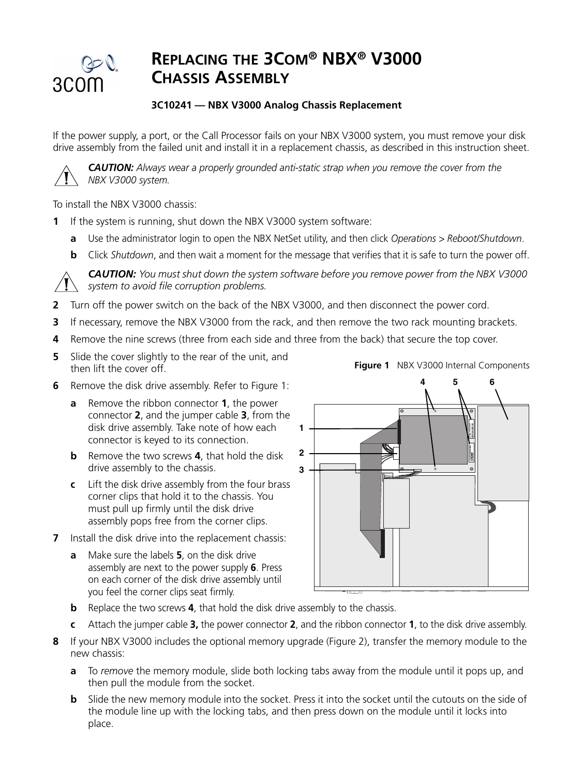

# **REPLACING THE 3COM® NBX® V3000 CHASSIS ASSEMBLY**

## **3C10241 — NBX V3000 Analog Chassis Replacement**

If the power supply, a port, or the Call Processor fails on your NBX V3000 system, you must remove your disk drive assembly from the failed unit and install it in a replacement chassis, as described in this instruction sheet.



*CAUTION: Always wear a properly grounded anti-static strap when you remove the cover from the NBX V3000 system.*

To install the NBX V3000 chassis:

- **1** If the system is running, shut down the NBX V3000 system software:
	- **a** Use the administrator login to open the NBX NetSet utility, and then click *Operations > Reboot/Shutdown*.
	- **b** Click *Shutdown*, and then wait a moment for the message that verifies that it is safe to turn the power off.



*CAUTION: You must shut down the system software before you remove power from the NBX V3000 system to avoid file corruption problems.*

- **2** Turn off the power switch on the back of the NBX V3000, and then disconnect the power cord.
- **3** If necessary, remove the NBX V3000 from the rack, and then remove the two rack mounting brackets.
- **4** Remove the nine screws (three from each side and three from the back) that secure the top cover.
- **5** Slide the cover slightly to the rear of the unit, and then lift the cover off.
- **6** Remove the disk drive assembly. Refer to Figure 1:
	- **a** Remove the ribbon connector **1**, the power connector **2**, and the jumper cable **3**, from the disk drive assembly. Take note of how each connector is keyed to its connection.
	- **b** Remove the two screws **4**, that hold the disk drive assembly to the chassis.
	- **c** Lift the disk drive assembly from the four brass corner clips that hold it to the chassis. You must pull up firmly until the disk drive assembly pops free from the corner clips.
- **7** Install the disk drive into the replacement chassis:
	- **a** Make sure the labels **5**, on the disk drive assembly are next to the power supply **6**. Press on each corner of the disk drive assembly until you feel the corner clips seat firmly.



- **b** Replace the two screws **4**, that hold the disk drive assembly to the chassis.
- **c** Attach the jumper cable **3,** the power connector **2**, and the ribbon connector **1**, to the disk drive assembly.
- **8** If your NBX V3000 includes the optional memory upgrade (Figure 2), transfer the memory module to the new chassis:
	- **a** To *remove* the memory module, slide both locking tabs away from the module until it pops up, and then pull the module from the socket.
	- **b** Slide the new memory module into the socket. Press it into the socket until the cutouts on the side of the module line up with the locking tabs, and then press down on the module until it locks into place.